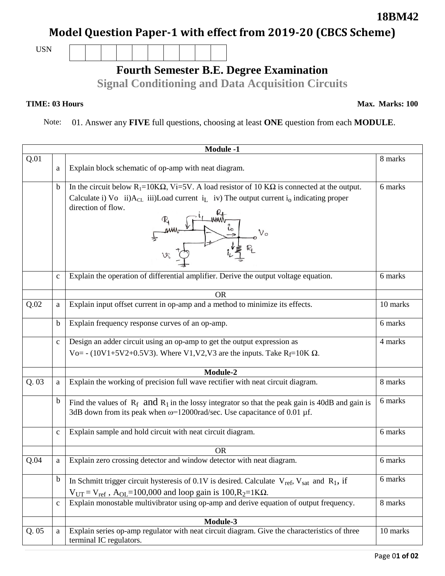## **Model Question Paper-1 with effect from 2019-20 (CBCS Scheme)**

USN

## **Fourth Semester B.E. Degree Examination**

**Signal Conditioning and Data Acquisition Circuits**

**TIME: 03 Hours** Max. Marks: 100

Note: 01. Answer any **FIVE** full questions, choosing at least **ONE** question from each **MODULE**.

|      | <b>Module -1</b> |                                                                                                                                                                                                                                                                                        |          |  |  |
|------|------------------|----------------------------------------------------------------------------------------------------------------------------------------------------------------------------------------------------------------------------------------------------------------------------------------|----------|--|--|
| Q.01 | a                | Explain block schematic of op-amp with neat diagram.                                                                                                                                                                                                                                   | 8 marks  |  |  |
|      | b                | In the circuit below R <sub>1</sub> =10K $\Omega$ , Vi=5V. A load resistor of 10 K $\Omega$ is connected at the output.<br>Calculate i) Vo ii) $A_{CL}$ iii)Load current i <sub>I</sub> iv) The output current i <sub>0</sub> indicating proper<br>direction of flow.<br>$\frac{1}{2}$ | 6 marks  |  |  |
|      | $\mathbf{C}$     | Explain the operation of differential amplifier. Derive the output voltage equation.                                                                                                                                                                                                   | 6 marks  |  |  |
|      |                  | <b>OR</b>                                                                                                                                                                                                                                                                              |          |  |  |
| Q.02 | a                | Explain input offset current in op-amp and a method to minimize its effects.                                                                                                                                                                                                           | 10 marks |  |  |
|      | b                | Explain frequency response curves of an op-amp.                                                                                                                                                                                                                                        | 6 marks  |  |  |
|      | $\mathbf{C}$     | Design an adder circuit using an op-amp to get the output expression as<br>Vo= - (10V1+5V2+0.5V3). Where V1, V2, V3 are the inputs. Take R <sub>f</sub> =10K $\Omega$ .                                                                                                                | 4 marks  |  |  |
|      |                  | Module-2                                                                                                                                                                                                                                                                               |          |  |  |
| Q.03 | a                | Explain the working of precision full wave rectifier with neat circuit diagram.                                                                                                                                                                                                        | 8 marks  |  |  |
|      | b                | Find the values of $R_f$ and $R_1$ in the lossy integrator so that the peak gain is 40dB and gain is<br>3dB down from its peak when $\omega$ =12000rad/sec. Use capacitance of 0.01 µf.                                                                                                | 6 marks  |  |  |
|      | $\mathbf c$      | Explain sample and hold circuit with neat circuit diagram.                                                                                                                                                                                                                             | 6 marks  |  |  |
|      |                  | <b>OR</b>                                                                                                                                                                                                                                                                              |          |  |  |
| Q.04 | a                | Explain zero crossing detector and window detector with neat diagram.                                                                                                                                                                                                                  | 6 marks  |  |  |
|      | b                | In Schmitt trigger circuit hysteresis of 0.1V is desired. Calculate $V_{ref}$ , $V_{sat}$ and $R_1$ , if                                                                                                                                                                               | 6 marks  |  |  |
|      |                  | $V_{UT} = V_{ref}$ , A <sub>OL</sub> =100,000 and loop gain is 100,R <sub>2</sub> =1K $\Omega$ .                                                                                                                                                                                       |          |  |  |
|      | $\mathbf{C}$     | Explain monostable multivibrator using op-amp and derive equation of output frequency.                                                                                                                                                                                                 | 8 marks  |  |  |
|      |                  | Module-3                                                                                                                                                                                                                                                                               |          |  |  |
| Q.05 | a                | Explain series op-amp regulator with neat circuit diagram. Give the characteristics of three<br>terminal IC regulators.                                                                                                                                                                | 10 marks |  |  |

**18BM42**